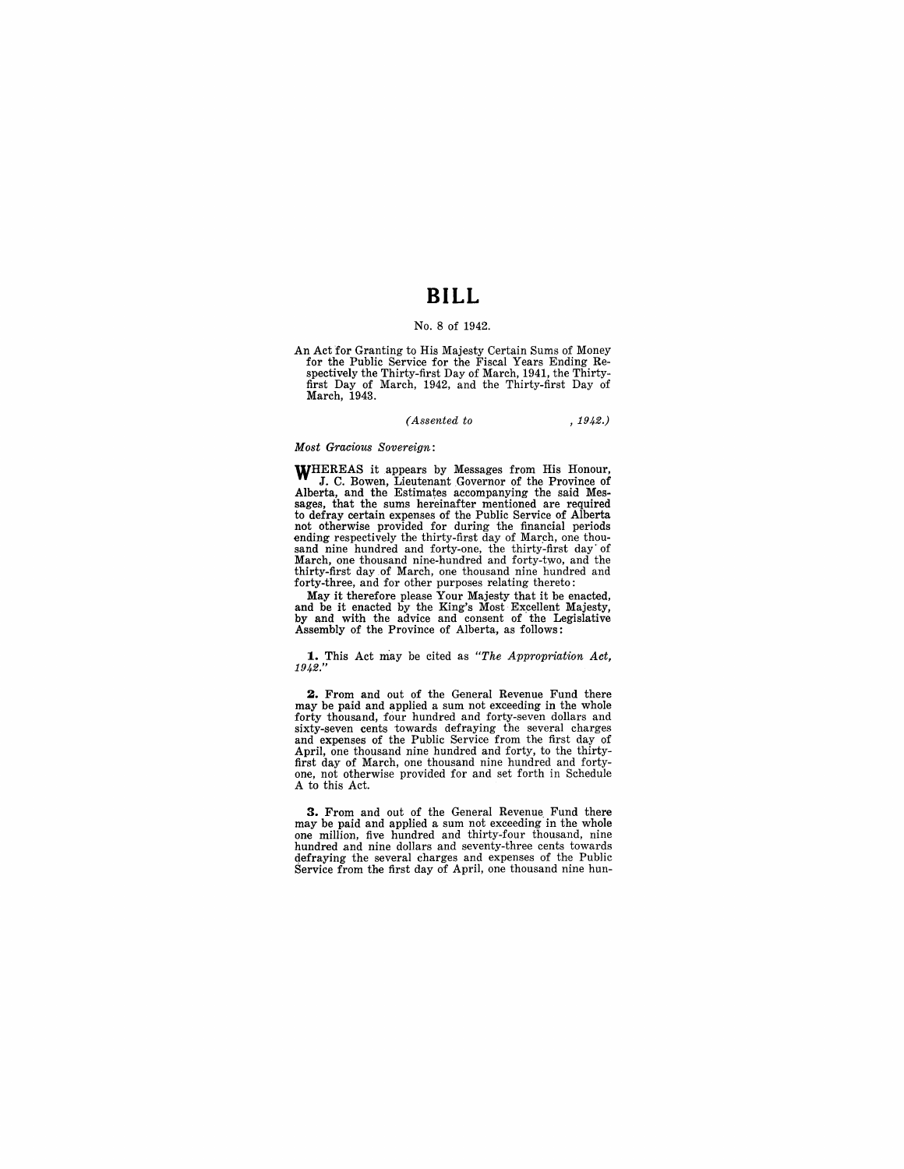## **BILL**

## No. 8 of 1942.

An Act for Granting to His Majesty Certain Sums of Money for the Public Service for the Fiscal Years Ending Re-spectively the Thirty-first Day of March, 1941, the Thirtyfirst Day of March, 1942, and the Thirty-first Day of March, 1943.

*(Assented to* , 1942.)

## *Most Gracious Sovereign:*

WHEREAS it appears by Messages from His Honour, J. C. Bowen, Lieutenant Governor of the Province of Alberta, and the Estimates accompanying the said Mes-sages, that the sums hereinafter mentioned are required to defray certain expenses of the Public Service of Alberta not otherwise provided for during the financial periods ending respectively the thirty-first day of March, one thousand nine hundred and forty-one, the thirty-first day· of March, one thousand nine-hundred and forty-two, and the thirty-first day of March, one thousand nine hundred and forty-three, and for other purposes relating thereto:

May it therefore please Your Majesty that it be enacted, and be it enacted by the King's Most Excellent Majesty, by and with the advice and consent of the Legislative Assembly of the Province of Alberta, as follows:

**1..** This Act may be cited as *"The Appropriation Act,*  1942."

**2.** From and out of the General Revenue Fund there may be paid and applied a sum not exceeding in the whole forty thousand, four hundred and forty-seven dollars and sixty-seven cents towards defraying the several charges and expenses of the Public Service from the first day of April, one thousand nine hundred and forty, to the thirty-first day of March, one thousand nine hundred and fortyone, not otherwise provided for and set forth in Schedule A to this Act.

**3.** From and out of the General Revenue Fund there may be paid and applied a sum not exceeding in the whole one million, five hundred and thirty-four thousand, nine hundred and nine dollars and seventy-three cents towards defraying the several charges and expenses of the Public Service from the first day of April, one thousand nine hun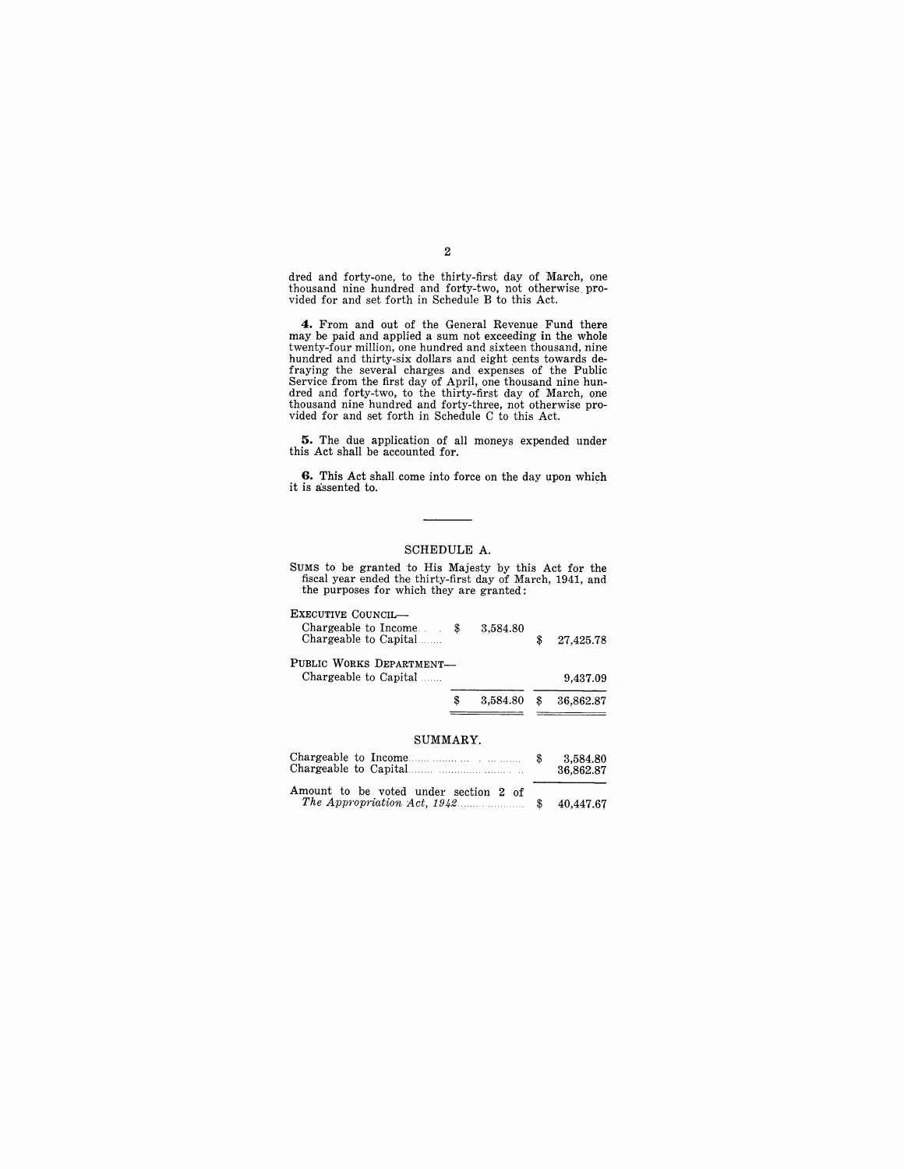dred and forty-one, to the thirty-first day of March, one thousand nine hundred and forty-two, not otherwise. provided for and set forth in Schedule B to this Act.

**4.** From and out of the General Revenue Fund there may be paid and applied a sum not exceeding in the whole twenty-four million, one hundred and sixteen thousand, nine hundred and thirty-six dollars and eight cents towards de-<br>fraying the several charges and expenses of the Public<br>Service from the first day of April, one thousand nine hun-<br>dred and forty-two, to the thirty-first day of M vided for and set forth in Schedule C to this Act.

**5.** The due application of all moneys expended under this Act shall be accounted for.

**6.** This Act shall. come into force on the day upon which it is assented to.

## SCHEDULE A.

SUMS to be granted to His Majesty by this Act for the fiscal year ended the thirty-first day of March, 1941, and the purposes for which they are granted:

| EXECUTIVE COUNCIL—<br>Chargeable to Income.<br>Chargeable to Capital | 3,584.80       | \$<br>27,425.78 |
|----------------------------------------------------------------------|----------------|-----------------|
| PUBLIC WORKS DEPARTMENT-<br>Chargeable to Capital                    |                | 9,437.09        |
|                                                                      | \$<br>3,584.80 | 36,862.87       |
|                                                                      |                |                 |

#### SUMMARY.

|                                       | 3.584.80<br>36.862.87 |
|---------------------------------------|-----------------------|
| Amount to be voted under section 2 of |                       |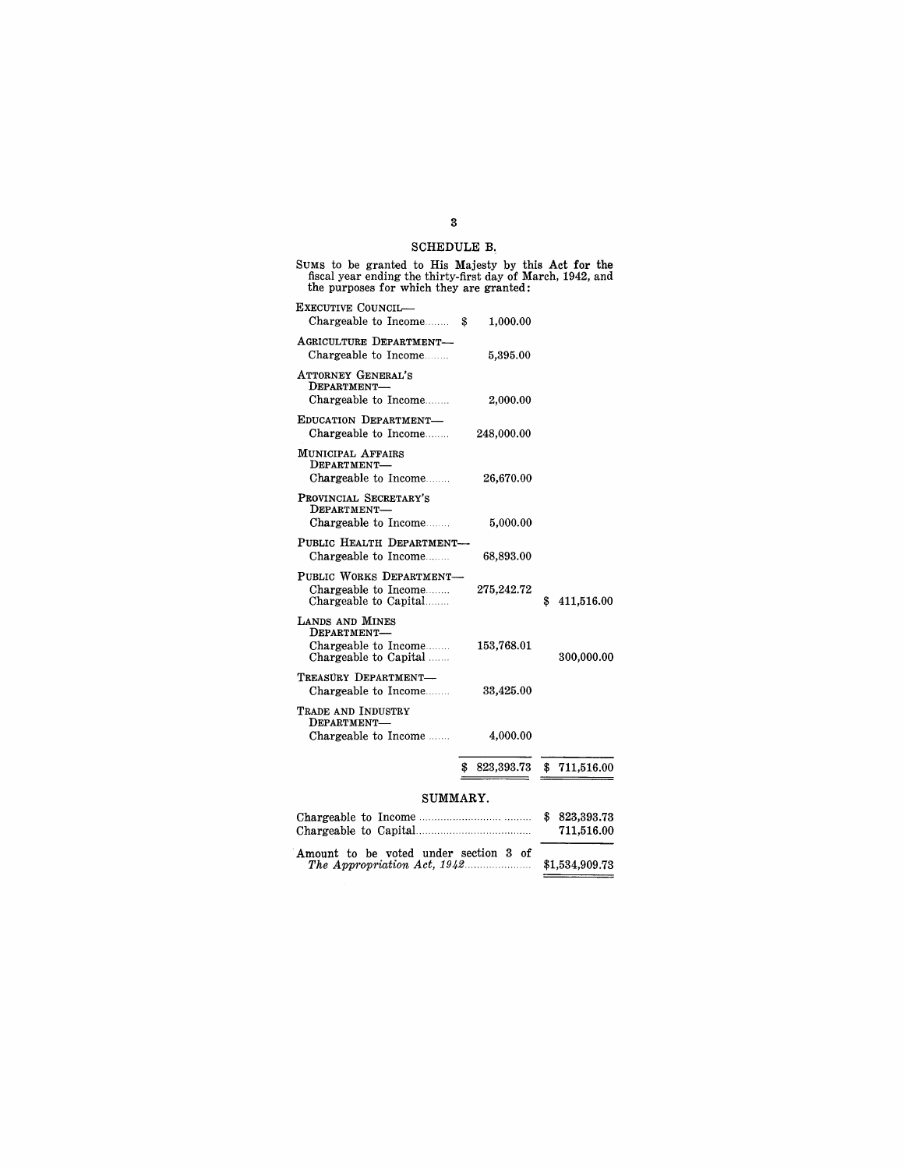## SCHEDULE R

| SUMS to be granted to His Majesty by this Act for the<br>fiscal year ending the thirty-first day of March, 1942, and<br>the purposes for which they are granted: |                                          |
|------------------------------------------------------------------------------------------------------------------------------------------------------------------|------------------------------------------|
| EXECUTIVE COUNCIL<br>Chargeable to Income \$<br>1,000.00                                                                                                         |                                          |
| AGRICULTURE DEPARTMENT-<br>Chargeable to Income<br>5,395.00                                                                                                      |                                          |
| ATTORNEY GENERAL'S<br>DEPARTMENT-<br>Chargeable to Income<br>2,000.00                                                                                            |                                          |
| EDUCATION DEPARTMENT-<br>Chargeable to Income<br>248,000.00                                                                                                      |                                          |
| MUNICIPAL AFFAIRS<br>DEPARTMENT-<br>Chargeable to Income<br>26,670.00                                                                                            |                                          |
| PROVINCIAL SECRETARY'S<br>DEPARTMENT-<br>Chargeable to Income<br>5,000.00                                                                                        |                                          |
| PUBLIC HEALTH DEPARTMENT-<br>Chargeable to Income<br>68,893.00                                                                                                   |                                          |
| PUBLIC WORKS DEPARTMENT-<br>Chargeable to Income<br>275,242.72<br>Chargeable to Capital                                                                          | 411,516.00<br>3                          |
| LANDS AND MINES<br>DEPARTMENT-<br>Chargeable to Income<br>153,768.01<br>Chargeable to Capital                                                                    | 300,000.00                               |
| TREASURY DEPARTMENT-<br>Chargeable to Income<br>33,425.00                                                                                                        |                                          |
| TRADE AND INDUSTRY<br>DEPARTMENT-<br>Chargeable to Income<br>4,000.00                                                                                            |                                          |
| \$<br>823,393.73                                                                                                                                                 | 711,516.00<br>\$                         |
| SUMMARY.                                                                                                                                                         |                                          |
| Chargeable to Income                                                                                                                                             | $\mathbf{s}$<br>823,393.73<br>711,516.00 |

| <u>UNDER CONNECTO UNDERGESSIONS.</u>  | $1 + 10 + 0.00$ |
|---------------------------------------|-----------------|
|                                       |                 |
| Amount to be voted under section 3 of |                 |
|                                       | \$1,534,909.73  |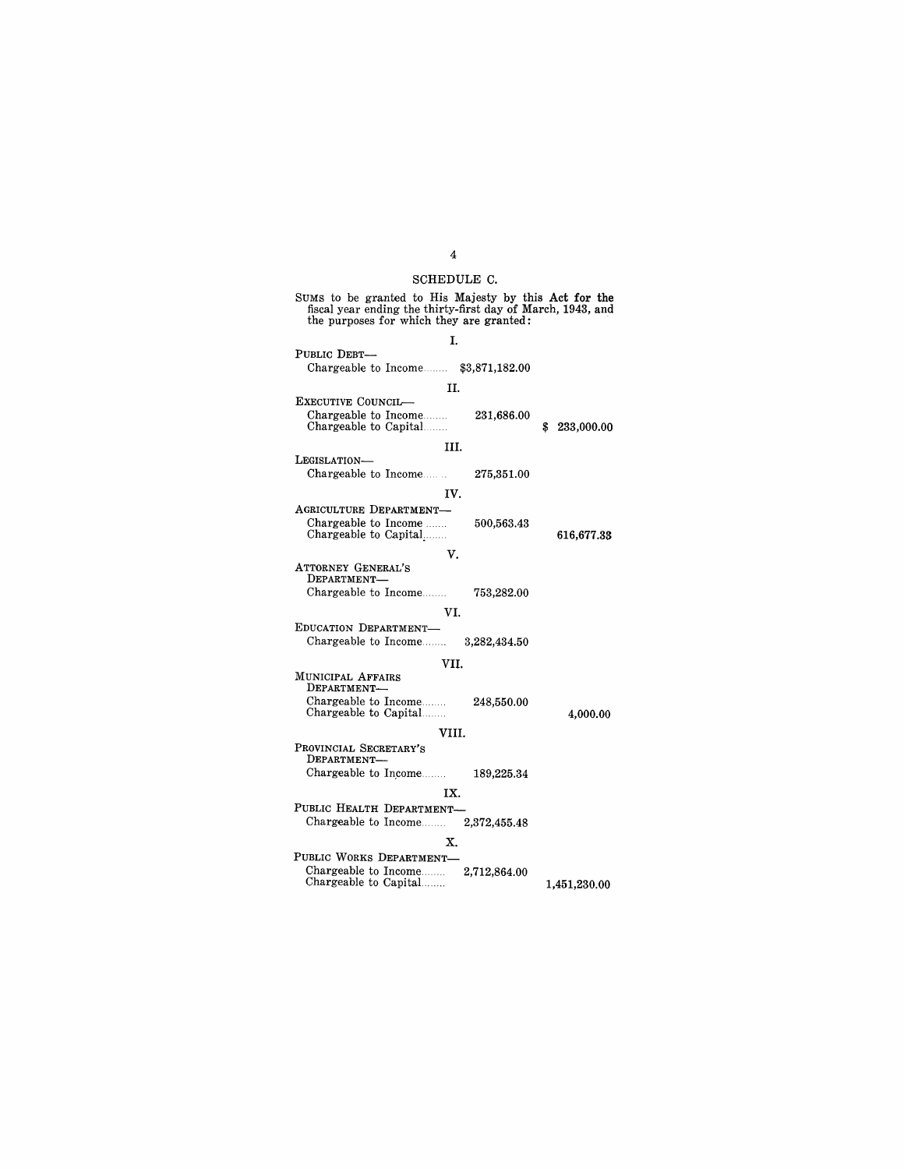## SCHEDULE C.

# SUMS to be granted to His Majesty by this Act for the fiscal year ending the thirty-first day of March, 1943, and the purposes for which they are granted:

I. PUBLIC DEBT-Chargeable to Income........  $$3,871,182.00$ II. EXECUTIVE COUNCIL-Chargeable to Income........<br>Chargeable to Capital........ III. LEGISLATION-Chargeable to Income IV. AGRICULTURE DEPARTMENT-<br>Chargeable to Income Chargeable to Capital....... V. ATTORNEY GENERAL'S DEPARTMENT-Chargeable to Income....... VI. EDUCATION DEPARTMENT-Chargeable to Income .. MUNICIPAL AFFAIRS DEPARTMENT-Chargeable to Income........<br>Chargeable to Capital........ PROVINCIAL SECRETARY'S DEPARTMENT-Chargeable to Income....... VII. VIII. IX. 231,686.00 275,351.00 500,563.43 753,282.00 3,282,434.50 248,550.00 189,225.34 PUBLIC HEALTH DEPARTMENT—<br>Chargeable to Income........ 2,372,455.48 Chargeable to Income........ X. PUBLIC WORKS DEPARTMENT-<br>Chargeable to Income........ 2,712,864.00 \$ 233,000.00 616,677.33 4,000.00 Chargeable to Income.. 2,712,864.00 Chargeable to Capital. 1,451,230.00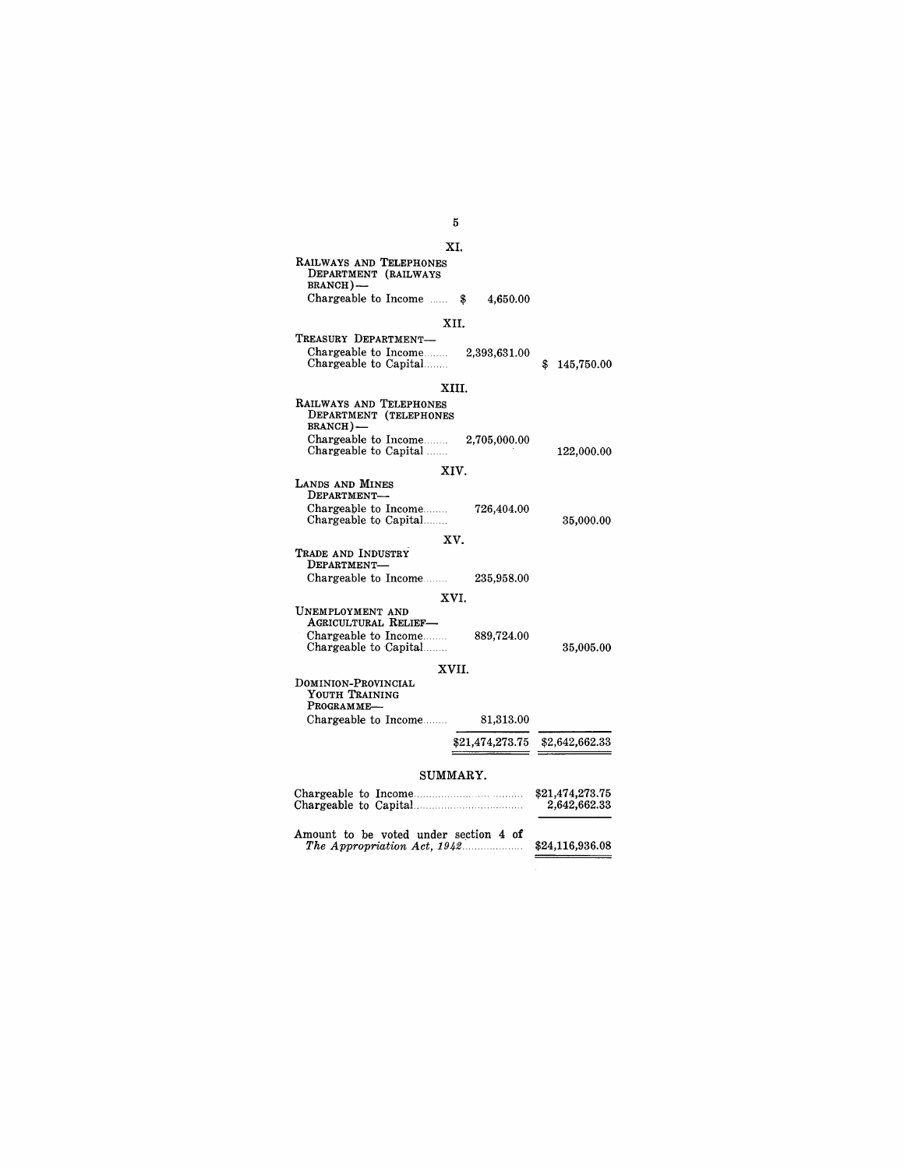#### XI. RAILWAYS AND TELEPHONES DEPARTMENT (RAILWAYS BRANCH)-Chargeable to Income  $\ldots$  \$ XII. 4,650.00 TREASURY DEPARTMENT-Chargeable to Income Chargeable to Capital....... 2,393,631.00 XIII. RAILWAYS AND TELEPHONES DEPARTMENT (TELEPHONES BRANCH)-Chargeable to Income......... 2,705,000.00<br>Chargeable to Capital ....... LANDS AND MINES DEPARTMENT-Chargeable to Income.........<br>Chargeable to Capital........ TRADE AND INDUSTRY DEPARTMENT-Chargeable to Income UNEMPLOYMENT AND AGRICULTURAL RELIEF-Chargeable to Income.........<br>Chargeable to Capital........ XIV. XV. XVI. XVII. DOMINION-PROVINCIAL YOUTH TRAINING<br>Programme— Chargeable to Income .. 726,404.00 235,958.00 889,724.00 81,313.00 \$ 145,750.00 122,000.00 35,000.00 35,005.00 \$21,474,273.75 \$2,642,662.33 SUMMARY. Chargeable to Income.. \$21,474,273.75 Chargeable to CapitaL 2,642,662.33 Amount to be voted under section 4 of *The Appropriation Act,* 1942.·. \$24,116,936.08